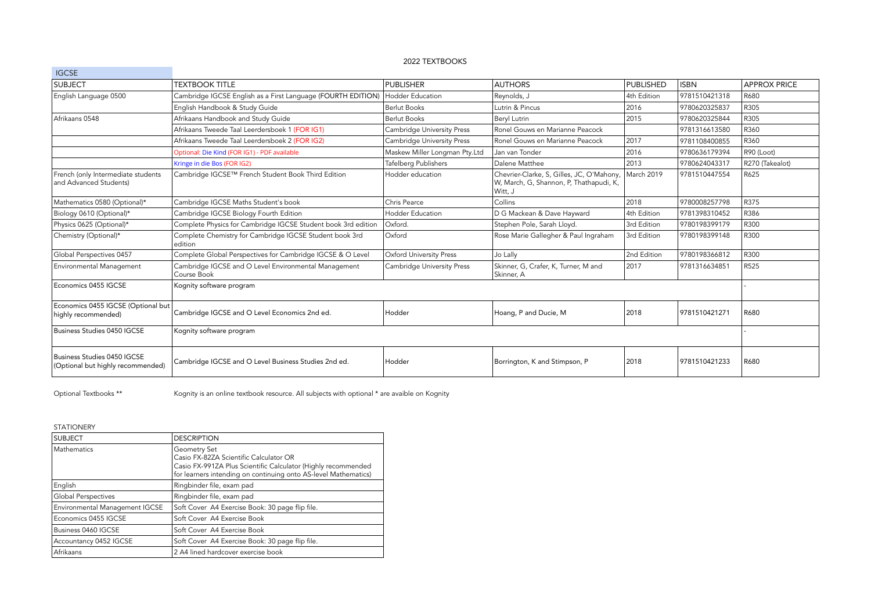## 2022 TEXTBOOKS

| <b>IGCSE</b>                                                     |                                                                     |                               |                                                                                                 |             |               |                     |
|------------------------------------------------------------------|---------------------------------------------------------------------|-------------------------------|-------------------------------------------------------------------------------------------------|-------------|---------------|---------------------|
| <b>SUBJECT</b>                                                   | <b>TEXTBOOK TITLE</b>                                               | <b>PUBLISHER</b>              | <b>AUTHORS</b>                                                                                  | PUBLISHED   | <b>ISBN</b>   | <b>APPROX PRICE</b> |
| English Language 0500                                            | Cambridge IGCSE English as a First Language (FOURTH EDITION)        | Hodder Education              | Reynolds, J                                                                                     | 4th Edition | 9781510421318 | R680                |
|                                                                  | English Handbook & Study Guide                                      | <b>Berlut Books</b>           | Lutrin & Pincus                                                                                 | 2016        | 9780620325837 | R305                |
| Afrikaans 0548                                                   | Afrikaans Handbook and Study Guide                                  | <b>Berlut Books</b>           | Bervl Lutrin                                                                                    | 2015        | 9780620325844 | R305                |
|                                                                  | Afrikaans Tweede Taal Leerdersboek 1 (FOR IG1)                      | Cambridge University Press    | Ronel Gouws en Marianne Peacock                                                                 |             | 9781316613580 | R360                |
|                                                                  | Afrikaans Tweede Taal Leerdersboek 2 (FOR IG2)                      | Cambridge University Press    | Ronel Gouws en Marianne Peacock                                                                 | 2017        | 9781108400855 | R360                |
|                                                                  | Optional: Die Kind (FOR IG1) - PDF available                        | Maskew Miller Longman Pty.Ltd | Jan van Tonder                                                                                  | 2016        | 9780636179394 | R90 (Loot)          |
|                                                                  | Kringe in die Bos (FOR IG2)                                         | <b>Tafelberg Publishers</b>   | Dalene Matthee                                                                                  | 2013        | 9780624043317 | R270 (Takealot)     |
| French (only Intermediate students<br>and Advanced Students)     | Cambridge IGCSE™ French Student Book Third Edition                  | Hodder education              | Chevrier-Clarke, S, Gilles, JC, O'Mahony,<br>W, March, G, Shannon, P, Thathapudi, K,<br>Witt, J | March 2019  | 9781510447554 | R625                |
| Mathematics 0580 (Optional)*                                     | Cambridge IGCSE Maths Student's book                                | Chris Pearce                  | Collins                                                                                         | 2018        | 9780008257798 | R375                |
| Biology 0610 (Optional)*                                         | Cambridge IGCSE Biology Fourth Edition                              | <b>Hodder Education</b>       | D G Mackean & Dave Hayward                                                                      | 4th Edition | 9781398310452 | R386                |
| Physics 0625 (Optional)*                                         | Complete Physics for Cambridge IGCSE Student book 3rd edition       | Oxford.                       | Stephen Pole, Sarah Lloyd.                                                                      | 3rd Edition | 9780198399179 | R300                |
| Chemistry (Optional)*                                            | Complete Chemistry for Cambridge IGCSE Student book 3rd<br>ledition | Oxford                        | Rose Marie Gallegher & Paul Ingraham                                                            | 3rd Edition | 9780198399148 | R300                |
| Global Perspectives 0457                                         | Complete Global Perspectives for Cambridge IGCSE & O Level          | Oxford University Press       | Jo Lally                                                                                        | 2nd Edition | 9780198366812 | R300                |
| Environmental Management                                         | Cambridge IGCSE and O Level Environmental Management<br>Course Book | Cambridge University Press    | Skinner, G, Crafer, K, Turner, M and<br>Skinner, A                                              | 2017        | 9781316634851 | R525                |
| Economics 0455 IGCSE                                             | Kognity software program                                            |                               |                                                                                                 |             |               |                     |
| Economics 0455 IGCSE (Optional but<br>highly recommended)        | Cambridge IGCSE and O Level Economics 2nd ed.                       | Hodder                        | Hoang, P and Ducie, M                                                                           | 2018        | 9781510421271 | R680                |
| Business Studies 0450 IGCSE                                      | Kognity software program                                            |                               |                                                                                                 |             |               |                     |
| Business Studies 0450 IGCSE<br>(Optional but highly recommended) | Cambridge IGCSE and O Level Business Studies 2nd ed.                | Hodder                        | Borrington, K and Stimpson, P                                                                   | 2018        | 9781510421233 | R680                |

Optional Textbooks \*\* <br>Kognity is an online textbook resource. All subjects with optional \* are avaible on Kognity

STATIONERY

| <b>SUBJECT</b>                 | <b>DESCRIPTION</b>                                                                                                                                                                         |  |  |
|--------------------------------|--------------------------------------------------------------------------------------------------------------------------------------------------------------------------------------------|--|--|
| Mathematics                    | Geometry Set<br>Casio FX-82ZA Scientific Calculator OR<br>Casio FX-991ZA Plus Scientific Calculator (Highly recommended<br>for learners intending on continuing onto AS-level Mathematics) |  |  |
| English                        | Ringbinder file, exam pad                                                                                                                                                                  |  |  |
| Global Perspectives            | Ringbinder file, exam pad                                                                                                                                                                  |  |  |
| Environmental Management IGCSE | Soft Cover A4 Exercise Book: 30 page flip file.                                                                                                                                            |  |  |
| Economics 0455 IGCSE           | Soft Cover A4 Exercise Book                                                                                                                                                                |  |  |
| Business 0460 IGCSE            | Soft Cover A4 Exercise Book                                                                                                                                                                |  |  |
| Accountancy 0452 IGCSE         | Soft Cover A4 Exercise Book: 30 page flip file.                                                                                                                                            |  |  |
| Afrikaans                      | 2 A4 lined hardcover exercise book                                                                                                                                                         |  |  |